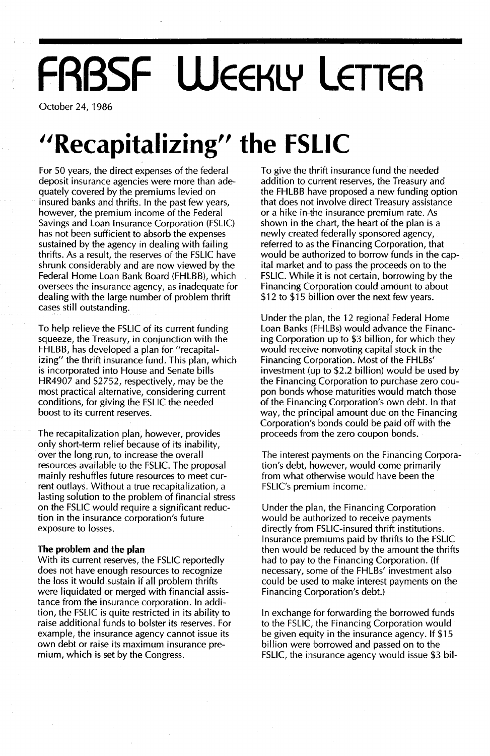# **FABSF WEEKLY LETTEA**

October 24, 1986

### **"Recapitalizing" the FSLIC**

For 50 years, the direct expenses of the federal deposit insurance agencies were more than adequately covered by the premiums levied on insured banks and thrifts. In the past few years, however, the premium income of the Federal Savings and Loan Insurance Corporation (FSLlC) has not been sufficient to absorb the expenses sustained by the agency in dealing with failing thrifts. As a result, the reserves of the FSLlC have shrunk considerably and are now viewed by the Federal Home Loan Bank Board (FHLBB), which oversees the insurance agency, as inadequate for dealing with the large number of problem thrift cases still outstanding.

To help relieve the FSLlC of its current funding squeeze, the Treasury, in conjunction with the FHLBB, has developed a plan for "recapitalizing" the thrift insurance fund. This plan, which is incorporated into House and Senate bills HR4907 and S2752, respectively, may be the most practical alternative, considering current conditions, for giving the FSLlC the needed boost to its current reserves.

The recapitalization plan, however, provides only short-term relief because of its inability, over the long run, to increase the overall resources available to the FSLlC. The proposal mainly reshuffles future resources to meet current outlays. Without a true recapitalization, a lasting solution to the problem of financial stress on the FSLlC would require a significant reduction in the insurance corporation's future exposure to losses.

#### **The problem and the plan**

With its current reserves, the FSLlC reportedly does not have enough resources to recognize the loss it would sustain if all problem thrifts were liquidated or merged with financial assistance from the insurance corporation. In addition, the FSLlC is quite restricted in its ability to raise additional funds to bolster its reserves. For example, the insurance agency cannot issue its own debt or raise its maximum insurance premium, which is set by the Congress.

To give the thrift insurance fund the needed addition to current reserves, the Treasury and the FHLBB have proposed a new funding option that does not involve direct Treasury assistance or a hike in the insurance premium rate. As shown in the chart, the heart of the plan is a newly created federally sponsored agency, referred to as the Financing Corporation, that would be authorized to borrow funds in the capital market and to pass the proceeds on to the FSLlC. While it is not certain, borrowing by the Financing Corporation could amount to about \$12 to \$15 billion over the next few years.

Under the plan, the 12 regional Federal Home Loan Banks (FHLBs) would advance the Financing Corporation up to \$3 billion, for which they would receive nonvoting capital stock in the Financing Corporation. Most of the FHLBs' investment (up to \$2.2 billion) would be used by the Financing Corporation to purchase zero coupon bonds whose maturities would match those of the Financing Corporation's own debt. In that way, the principal amount due on the Financing Corporation's bonds could be paid off with the proceeds from the zero coupon bonds.

The interest payments on the Financing Corporation's debt, however, would come primarily from what otherwise would have been the FSLlC's premium income.

Under the plan, the Financing Corporation would be authorized to receive payments directly from FSLlC-insured thrift institutions. Insurance premiums paid by thrifts to the FSLlC then would be reduced by the amount the thrifts had to pay to the Financing Corporation. (If necessary, some of the FHLBs' investment also could be used to make interest payments on the Financing Corporation's debt.)

In exchange for forwarding the borrowed funds to the FSLlC, the Financing Corporation would be given equity in the insurance agency. If \$15 billion were borrowed and passed on to the FSLlC, the insurance agency would issue \$3 bil-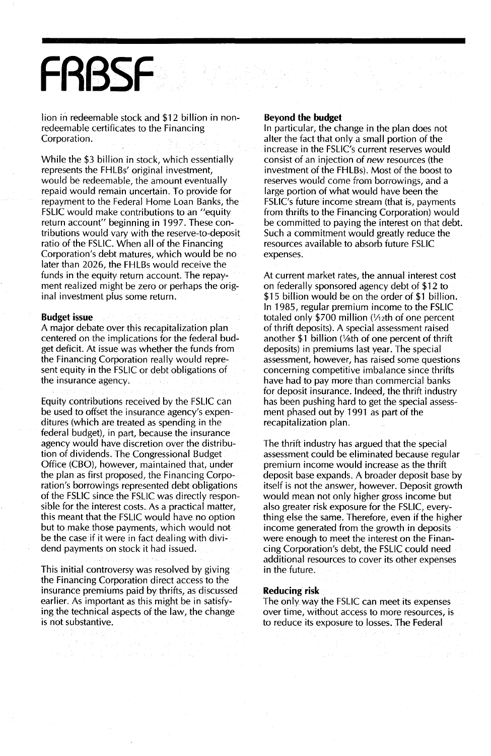## **FRBSF**

lion in redeemable stock and \$12 billion in nonredeemable certificates to the Financing Corporation.

While the \$3 billion in stock, which essentially represents the FHLBs' original investment, would be redeemable, the amount eventually repaid would remain uncertain. To provide for repayment to the Federal Home Loan Banks, the FSLIC would make contributions to an "equity return account" beginning in 1997. These contributions would vary with the reserve-to-deposit ratio of the FSLIC. When all of the Financing Corporation's debt matures, which would be no later than 2026, the FHLBs would receive the funds in the equity return account. The repayment realized might be zero or perhaps the original investment plus some return.

#### **Budget** issue

A major debate over this recapitalization plan centered on the implications for the federal budget deficit. At issue was whether the funds from the Financing Corporation really would represent equity in the FSLIC or debt obligations of the insurance agency.

Equity contributions received by the FSLlC can be used to offset the insurance agency's expenditures (which are treated as spending in the federal budget), in part, because the insurance agency would have discretion over the distribution of dividends. The Congressional Budget Office (CBO), however, maintained that, under the plan as first proposed, the Financing Corporation's borrowings represented debt obligations of the FSLlC since the FSLlC was directly responsible for the interest costs. As a practical matter, this meant that the FSLIC would have no option but to make those payments, which would not be the case if it were in fact dealing with dividend payments on stock it had issued.

This initial controversy was resolved by giving the Financing Corporation direct access to the insurance premiums paid by thrifts, as discussed earlier. As important as this might be in satisfying the technical aspects of the law, the change is not substantive.

a sa mga kalalang pagkalang ng pagkalang ng mga kalalang pagkalang ng pagkalang ng pagkalang ng mga kalalang n<br>Kanadang pagkalang ng pagkalang ng pagkalang ng pagkalang ng pagkalang ng pagkalang ng pagkalang ng pagkalang

#### **Beyond the budget**

In particular, the change in the plan does not alter the fact that only a small portion of the increase in the FSLlC's current reserves would consist of an injection of *new* resources (the investment of the FHLBs). Most of the boost to reserves would come from borrowings, and a large portion of what would have been the FSLlC's future income stream (that is, payments from thrifts to the Financing Corporation) would be committed to paying the interest on that debt. Such a commitment would greatly reduce the resources available to absorb future FSLlC expenses.

At current market rates, the annual interest cost on federally sponsored agency debt of \$12 to \$15 billion would be on the order of \$1 billion. In 1985, regular premium income to the FSLlC totaled only \$700 million  $(1/12th)$  of one percent of thrift deposits). A special assessment raised another \$1 billion (1/sth of one percent of thrift deposits) in premiums last year. The special assessment, however, has raised some questions concerning competitive imbalance since thrifts have had to pay more than commercial banks for deposit insurance. Indeed, the thrift industry has been pushing hard to get the special assessment phased out by 1991 as part of the recapitalization plan.

The thrift industry has argued that the special assessment could be eliminated because regular premium income would increase as the thrift deposit base expands. A broader deposit base by itself is not the answer, however. Deposit growth would mean not only higher gross income but also greater risk exposure for the FSLlC, everything else the same. Therefore, even if the higher income generated from the growth in deposits were enough to meet the interest on the Financing Corporation's debt, the FSLlC could need additional resources to cover its other expenses in the future.

#### **Reducing risk**

The only way the FSLlC can meet its expenses over time, without access to more resources, is to reduce its exposure to losses. The Federal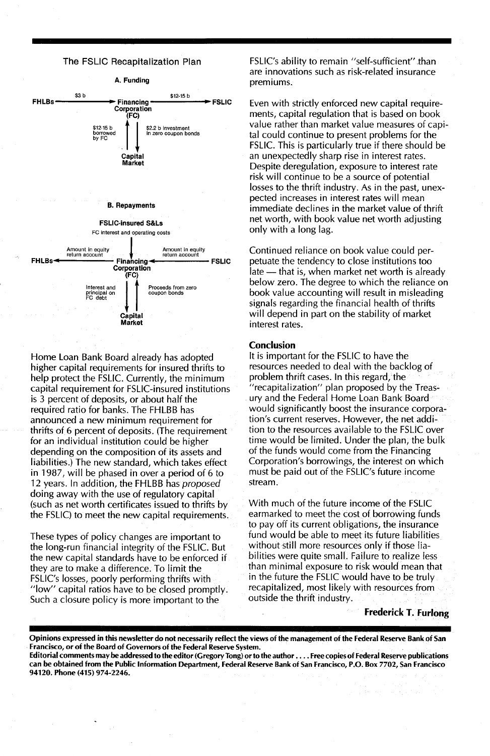#### The FSLlC Recapitalization Plan

A. Funding \$3 b \$12-15 b **FHLBs FSLIC** · Financino Corporation (FC) \$12-15 b<br>borrowed<br>by FC \$2.2 b investment<br>in zero coupon bonds Capital Market B. Repayments FSLIC·insured S&Ls FC interest and operating costs Amount in equity<br>return account Amount in equity<br>return account FHLBs **•** Financing  $\leftarrow$  FSLIC Corporation<br>(FC) Interest and principal on  $\overline{FC}$  debt Proceeds from zero<br>coupon bonds  $_{\rm{en}}^{\rm{in}}$  on  $_{\rm{en}}$   $_{\rm{en}}$  coupon bonds Capital Market

Home Loan Bank Board already has adopted higher capital requirements for insured thrifts to help protect the FSLIC. Currently, the minimum capital requirement for FSLlC-insured institutions is 3 percent of deposits, or about half the required ratio for banks. The FHLBB has announced a new minimum requirement for thrifts of 6 percent of deposits. (The requirement for an individual institution could be higher depending on the composition of its assets and liabilities.) The new standard, which takes effect in 1987, will be phased in over a period of 6 to 12 years. In addition, the FHLBB has proposed doing away with the use of regulatory capital (such as net worth certificates issued to thrifts by the FSLlC) to meet the new capital requirements.

These types of policy changes are important to the long-run financial integrity of the FSLIC. But the new capital standards have to be enforced if they are to make a difference. To limit the FSLlC's losses, poorly performing thrifts with "low" capital ratios have to be closed promptly. Such a closure policy is more important to the

FSLlC's ability to remain "self-sufficient" than are innovations such as risk-related insurance premiums.

Even with strictly enforced new capital requirements, capital regulation that is based on book value rather than market value measures of capital could continue to present problems for the FSLIC. This is particularly true if there should be an unexpectedly sharp rise in interest rates. Despite deregulation, exposure to interest rate risk will continue to be a source of potential losses to the thrift industry. As in the past, unexpected increases in interest rates will mean immediate declines in the market value of thrift net worth, with book value net worth adjusting only with a long lag.

Continued reliance on book value could perpetuate the tendency to close institutions too late - that is, when market net worth is already below zero. The degree to which the reliance on book value accounting will result in misleading signals regarding the financial health of thrifts will depend in part on the stability of market interest rates.

#### Conclusion

It is important for the FSLlC to have the resources needed to deal with the backlog of problem thrift cases. In this regard, the "recapitalization" plan proposed by the Treasury and the Federal Home Loan Bank Board would significantly boost the insurance corporation's current reserves. However, the net addition to the resources available to the FSLIC over time would be limited. Under the plan, the bulk of the funds would come from the Financing Corporation's borrowings, the interest on which must be paid out of the FSLlC's future income stream.

With much of the future income of the FSLlC earmarked to meet the cost of borrowing funds. to payoff its current obligations, the insurance fund would be able to meet its future liabilities without still more resources only if those liabilities were quite small. Failure to realize less than minimal exposure to risk would mean that in the future the FSLlC would have to be truly recapitalized, most likely with resources from outside the thrift industry.

#### Frederick T. Furlong

Opinions expressed in this newsletter do not necessarily reflect the views of the management of the Federal Reserve Bank.of San Francisco, or of the Board of Governors of the Federal Reserve System. Editorial comments may be addressed to the editor (Gregory Tong) or to the author . . . . Free copies of Federal Reserve publications can be obtained from the Public Information Department, Federal Reserve Bank of San Francisco, P.O. Box 7702, San Francisco 94120. Phone (415) 974-2246.